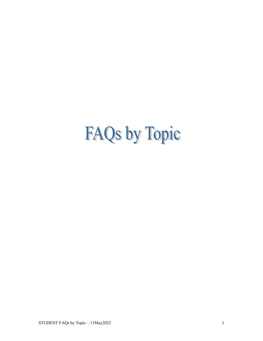# FAQs by Topic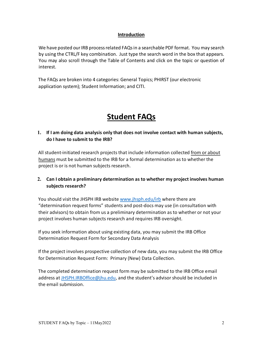#### **Introduction**

We have posted our IRB process related FAQs in a searchable PDF format. You may search by using the CTRL/F key combination. Just type the search word in the box that appears. You may also scroll through the Table of Contents and click on the topic or question of interest.

The FAQs are broken into 4 categories: General Topics; PHIRST (our electronic application system); Student Information; and CITI.

# **Student FAQs**

# **1. If I am doing data analysis only that does not involve contact with human subjects, do I have to submit to the IRB?**

All student-initiated research projects that include information collected from or about humans must be submitted to the IRB for a formal determination as to whether the project is or is not human subjects research.

## **2. Can I obtain a preliminary determination as to whether my project involves human subjects research?**

You should visit the JHSPH IRB website [www.jhsph.edu/irb](http://www.jhsph.edu/irb) where there are "determination request forms" students and post-docs may use (in consultation with their advisors) to obtain from us a preliminary determination as to whether or not your project involves human subjects research and requires IRB oversight.

If you seek information about using existing data, you may submit the IRB Office Determination Request Form for Secondary Data Analysis

If the project involves prospective collection of new data, you may submit the IRB Office for Determination Request Form: Primary (New) Data Collection.

The completed determination request form may be submitted to the IRB Office email address at [JHSPH.IRBOffice@jhu.edu,](mailto:JHSPH.IRBOffice@jhu.edu) and the student's advisor should be included in the email submission.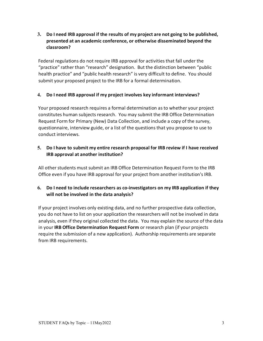**3. Do I need IRB approval if the results of my project are not going to be published, presented at an academic conference, or otherwise disseminated beyond the classroom?** 

Federal regulations do not require IRB approval for activities that fall under the "practice" rather than "research" designation. But the distinction between "public health practice" and "public health research" is very difficult to define. You should submit your proposed project to the IRB for a formal determination.

#### **4. Do I need IRB approval if my project involves key informant interviews?**

Your proposed research requires a formal determination as to whether your project constitutes human subjects research. You may submit the IRB Office Determination Request Form for Primary (New) Data Collection, and include a copy of the survey, questionnaire, interview guide, or a list of the questions that you propose to use to conduct interviews.

#### **5. Do I have to submit my entire research proposal for IRB review if I have received IRB approval at another institution?**

All other students must submit an IRB Office Determination Request Form to the IRB Office even if you have IRB approval for your project from another institution's IRB.

#### **6. Do I need to include researchers as co-investigators on my IRB application if they will not be involved in the data analysis?**

If your project involves only existing data, and no further prospective data collection, you do not have to list on your application the researchers will not be involved in data analysis, even if they original collected the data. You may explain the source of the data in your **IRB Office Determination Request Form** or research plan (if your projects require the submission of a new application). Authorship requirements are separate from IRB requirements.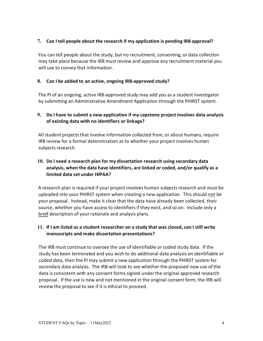### **7. Can I tell people about the research if my application is pending IRB approval?**

You can tell people about the study, but no recruitment, consenting, or data collection may take place because the IRB must review and approve any recruitment material you will use to convey that information.

#### **8. Can I be added to an active, ongoing IRB-approved study?**

The PI of an ongoing, active IRB-approved study may add you as a student investigator by submitting an Administrative Amendment Application through the PHIRST system.

#### **9. Do I have to submit a new application if my capstone project involves data analysis of existing data with no identifiers or linkage?**

All student projects that involve information collected from, or about humans, require IRB review for a formal determination as to whether your project involves human subjects research.

## **10. Do I need a research plan for my dissertation research using secondary data analysis, when the data have identifiers, are linked or coded, and/or qualify as a limited data set under HIPAA?**

A research plan is required if your project involves human subjects research and must be uploaded into your PHIRST system when creating a new application. This should not be your proposal. Instead, make it clear that the data have already been collected, their source, whether you have access to identifiers if they exist, and so on. Include only a brief description of your rationale and analysis plans.

#### **11. If I am listed as a student researcher on a study that was closed, can I still write manuscripts and make dissertation presentations?**

The IRB must continue to oversee the use of identifiable or coded study data. If the study has been terminated and you wish to do additional data analysis on identifiable or coded data, then the PI may submit a new application through the PHIRST system for secondary data analysis.The IRB will look to see whether the proposed new use of the data is consistent with any consent forms signed under the original approved research proposal. If the use is new and not mentioned in the original consent form, the IRB will review the proposal to see if it is ethical to proceed.